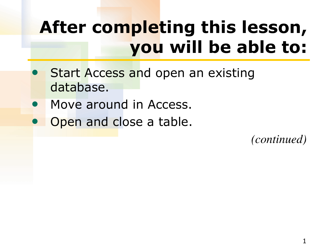## **After completing this lesson, you will be able to:**

- Start Access and open an existing database.
- Move around in Access.
- Open and close a table.

*(continued)*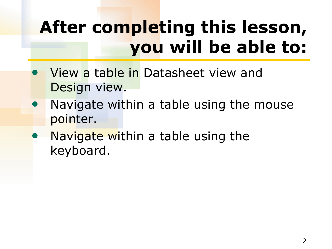## **After completing this lesson, you will be able to:**

- View a table in Datasheet view and Design view.
- Navigate within a table using the mouse pointer.
- Navigate within a table using the keyboard.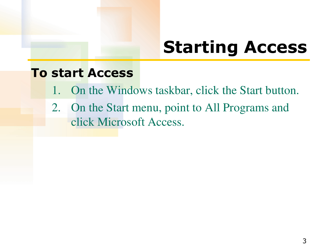### **Starting Access**

#### **To start Access**

- 1. On the Windows taskbar, click the Start button.
- 2. On the Start menu, point to All Programs and click Microsoft Access.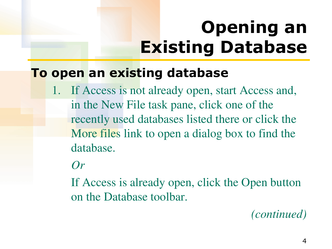# **Opening an Existing Database**

#### **To open an existing database**

1. If Access is not already open, start Access and, in the New File task pane, click one of the recently used databases listed there or click the More files link to open a dialog box to find the database.

#### *Or*

 If Access is already open, click the Open button on the Database toolbar.

*(continued)*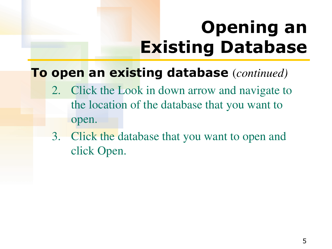# **Opening an Existing Database**

#### **To open an existing database** (*continued)*

- 2. Click the Look in down arrow and navigate to the location of the database that you want to open.
- 3. Click the database that you want to open and click Open.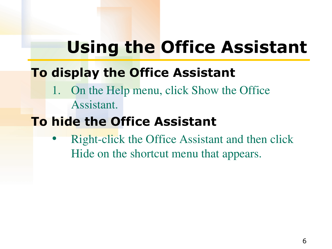### **Using the Office Assistant**

### **To display the Office Assistant**

1. On the Help menu, click Show the Office Assistant.

### **To hide the Office Assistant**

Right-click the Office Assistant and then click Hide on the shortcut menu that appears.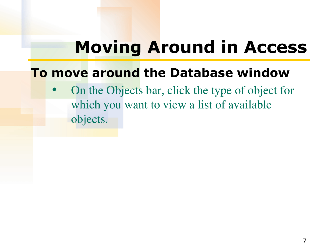### **Moving Around in Access**

#### **To move around the Database window**

• On the Objects bar, click the type of object for which you want to view a list of available objects.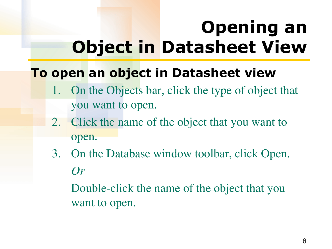## **Opening an Object in Datasheet View**

#### **To open an object in Datasheet view**

- 1. On the Objects bar, click the type of object that you want to open.
- 2. Click the name of the object that you want to open.
- 3. On the Database window toolbar, click Open. *Or*

 Double-click the name of the object that you want to open.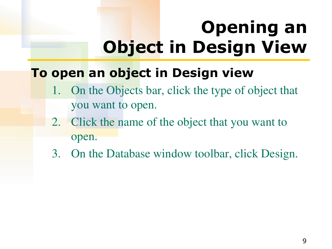# **Opening an Object in Design View**

#### **To open an object in Design view**

- 1. On the Objects bar, click the type of object that you want to open.
- 2. Click the name of the object that you want to open.
- 3. On the Database window toolbar, click Design.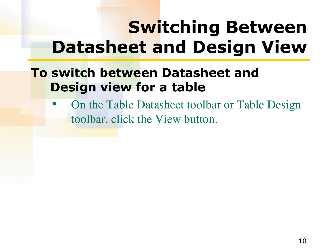### **Switching Between Datasheet and Design View**

#### **To switch between Datasheet and Design view for a table**

• On the Table Datasheet toolbar or Table Design toolbar, click the View button.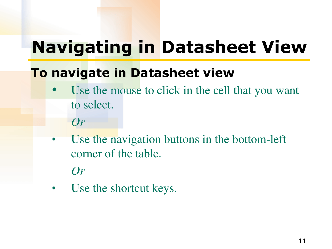### **Navigating in Datasheet View**

### **To navigate in Datasheet view**

- Use the mouse to click in the cell that you want to select.
	- *Or*
- Use the navigation buttons in the bottom-left corner of the table.

*Or*

Use the shortcut keys.